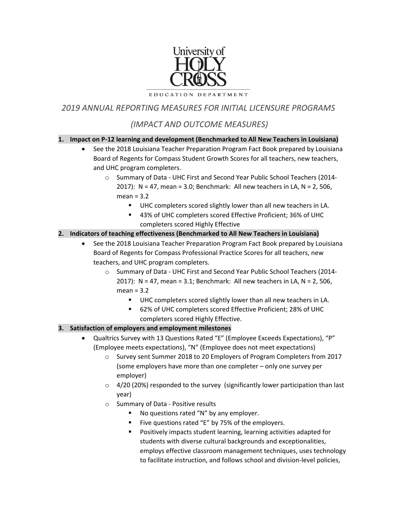

EDUCATION DEPARTMENT

*2019 ANNUAL REPORTING MEASURES FOR INITIAL LICENSURE PROGRAMS*

# *(IMPACT AND OUTCOME MEASURES)*

#### **1. Impact on P-12 learning and development (Benchmarked to All New Teachers in Louisiana)**

- See the 2018 Louisiana Teacher Preparation Program Fact Book prepared by Louisiana Board of Regents for Compass Student Growth Scores for all teachers, new teachers, and UHC program completers.
	- o Summary of Data UHC First and Second Year Public School Teachers (2014- 2017):  $N = 47$ , mean = 3.0; Benchmark: All new teachers in LA,  $N = 2$ , 506, mean = 3.2
		- UHC completers scored slightly lower than all new teachers in LA.
		- 43% of UHC completers scored Effective Proficient; 36% of UHC completers scored Highly Effective

#### **2. Indicators of teaching effectiveness (Benchmarked to All New Teachers in Louisiana)**

- See the 2018 Louisiana Teacher Preparation Program Fact Book prepared by Louisiana Board of Regents for Compass Professional Practice Scores for all teachers, new teachers, and UHC program completers.
	- o Summary of Data UHC First and Second Year Public School Teachers (2014- 2017): N = 47, mean = 3.1; Benchmark: All new teachers in LA, N = 2, 506,  $mean = 3.2$ 
		- UHC completers scored slightly lower than all new teachers in LA.
		- 62% of UHC completers scored Effective Proficient; 28% of UHC completers scored Highly Effective.

#### **3. Satisfaction of employers and employment milestones**

- Qualtrics Survey with 13 Questions Rated "E" (Employee Exceeds Expectations), "P" (Employee meets expectations), "N" (Employee does not meet expectations)
	- o Survey sent Summer 2018 to 20 Employers of Program Completers from 2017 (some employers have more than one completer – only one survey per employer)
	- o 4/20 (20%) responded to the survey (significantly lower participation than last year)
	- o Summary of Data Positive results
		- **No questions rated "N" by any employer.**
		- Five questions rated "E" by 75% of the employers.
		- **Positively impacts student learning, learning activities adapted for** students with diverse cultural backgrounds and exceptionalities, employs effective classroom management techniques, uses technology to facilitate instruction, and follows school and division-level policies,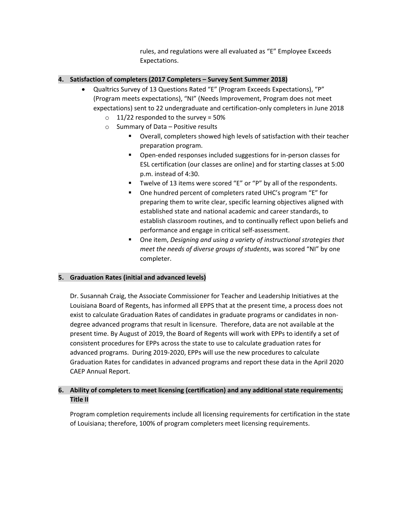rules, and regulations were all evaluated as "E" Employee Exceeds Expectations.

### **4. Satisfaction of completers (2017 Completers – Survey Sent Summer 2018)**

- Qualtrics Survey of 13 Questions Rated "E" (Program Exceeds Expectations), "P" (Program meets expectations), "NI" (Needs Improvement, Program does not meet expectations) sent to 22 undergraduate and certification-only completers in June 2018
	- $\circ$  11/22 responded to the survey = 50%
	- o Summary of Data Positive results
		- Overall, completers showed high levels of satisfaction with their teacher preparation program.
		- **•** Open-ended responses included suggestions for in-person classes for ESL certification (our classes are online) and for starting classes at 5:00 p.m. instead of 4:30.
		- Twelve of 13 items were scored "E" or "P" by all of the respondents.
		- One hundred percent of completers rated UHC's program "E" for preparing them to write clear, specific learning objectives aligned with established state and national academic and career standards, to establish classroom routines, and to continually reflect upon beliefs and performance and engage in critical self-assessment.
		- One item, *Designing and using a variety of instructional strategies that meet the needs of diverse groups of students*, was scored "NI" by one completer.

#### **5. Graduation Rates (initial and advanced levels)**

Dr. Susannah Craig, the Associate Commissioner for Teacher and Leadership Initiatives at the Louisiana Board of Regents, has informed all EPPS that at the present time, a process does not exist to calculate Graduation Rates of candidates in graduate programs or candidates in nondegree advanced programs that result in licensure. Therefore, data are not available at the present time. By August of 2019, the Board of Regents will work with EPPs to identify a set of consistent procedures for EPPs across the state to use to calculate graduation rates for advanced programs. During 2019-2020, EPPs will use the new procedures to calculate Graduation Rates for candidates in advanced programs and report these data in the April 2020 CAEP Annual Report.

## **6. Ability of completers to meet licensing (certification) and any additional state requirements; Title II**

Program completion requirements include all licensing requirements for certification in the state of Louisiana; therefore, 100% of program completers meet licensing requirements.